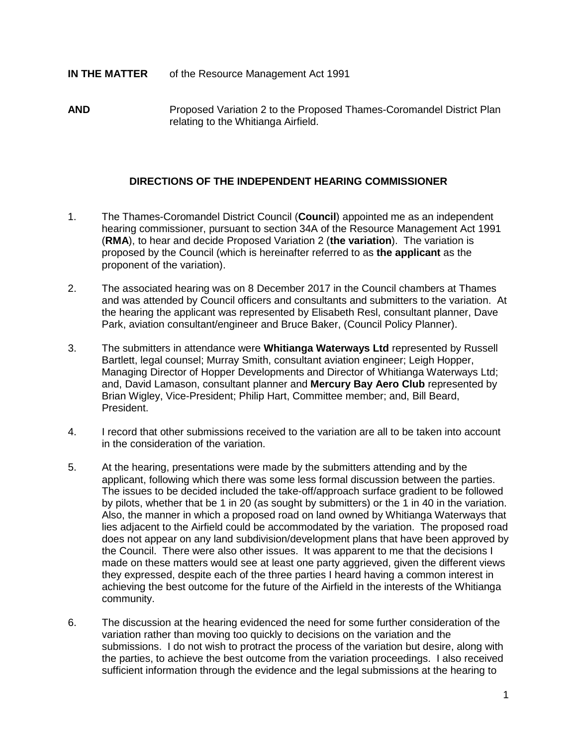## **IN THE MATTER** of the Resource Management Act 1991

**AND** Proposed Variation 2 to the Proposed Thames-Coromandel District Plan relating to the Whitianga Airfield.

## **DIRECTIONS OF THE INDEPENDENT HEARING COMMISSIONER**

- 1. The Thames-Coromandel District Council (**Council**) appointed me as an independent hearing commissioner, pursuant to section 34A of the Resource Management Act 1991 (**RMA**), to hear and decide Proposed Variation 2 (**the variation**). The variation is proposed by the Council (which is hereinafter referred to as **the applicant** as the proponent of the variation).
- 2. The associated hearing was on 8 December 2017 in the Council chambers at Thames and was attended by Council officers and consultants and submitters to the variation. At the hearing the applicant was represented by Elisabeth Resl, consultant planner, Dave Park, aviation consultant/engineer and Bruce Baker, (Council Policy Planner).
- 3. The submitters in attendance were **Whitianga Waterways Ltd** represented by Russell Bartlett, legal counsel; Murray Smith, consultant aviation engineer; Leigh Hopper, Managing Director of Hopper Developments and Director of Whitianga Waterways Ltd; and, David Lamason, consultant planner and **Mercury Bay Aero Club** represented by Brian Wigley, Vice-President; Philip Hart, Committee member; and, Bill Beard, President.
- 4. I record that other submissions received to the variation are all to be taken into account in the consideration of the variation.
- 5. At the hearing, presentations were made by the submitters attending and by the applicant, following which there was some less formal discussion between the parties. The issues to be decided included the take-off/approach surface gradient to be followed by pilots, whether that be 1 in 20 (as sought by submitters) or the 1 in 40 in the variation. Also, the manner in which a proposed road on land owned by Whitianga Waterways that lies adjacent to the Airfield could be accommodated by the variation. The proposed road does not appear on any land subdivision/development plans that have been approved by the Council. There were also other issues. It was apparent to me that the decisions I made on these matters would see at least one party aggrieved, given the different views they expressed, despite each of the three parties I heard having a common interest in achieving the best outcome for the future of the Airfield in the interests of the Whitianga community.
- 6. The discussion at the hearing evidenced the need for some further consideration of the variation rather than moving too quickly to decisions on the variation and the submissions. I do not wish to protract the process of the variation but desire, along with the parties, to achieve the best outcome from the variation proceedings. I also received sufficient information through the evidence and the legal submissions at the hearing to